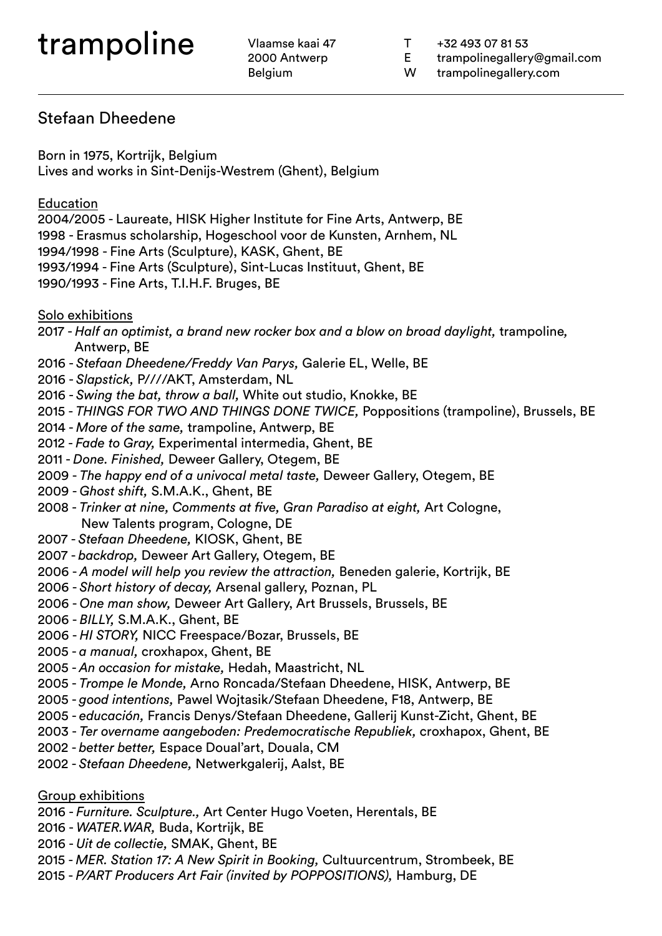2000 Antwerp Belgium

- T +32 493 07 81 53
- E trampolinegallery@gmail.com
- W trampolinegallery.com

### Stefaan Dheedene

Born in 1975, Kortrijk, Belgium Lives and works in Sint-Denijs-Westrem (Ghent), Belgium

#### Education

2004/2005 - Laureate, HISK Higher Institute for Fine Arts, Antwerp, BE 1998 - Erasmus scholarship, Hogeschool voor de Kunsten, Arnhem, NL 1994/1998 - Fine Arts (Sculpture), KASK, Ghent, BE 1993/1994 - Fine Arts (Sculpture), Sint-Lucas Instituut, Ghent, BE 1990/1993 - Fine Arts, T.I.H.F. Bruges, BE

#### Solo exhibitions

2017 - *Half an optimist, a brand new rocker box and a blow on broad daylight,* trampoline*,* Antwerp, BE

- 2016 *Stefaan Dheedene/Freddy Van Parys,* Galerie EL, Welle, BE
- 2016 *Slapstick,* P////AKT, Amsterdam, NL
- 2016 *Swing the bat, throw a ball,* White out studio, Knokke, BE
- 2015 *THINGS FOR TWO AND THINGS DONE TWICE,* Poppositions (trampoline), Brussels, BE
- 2014 *More of the same,* trampoline, Antwerp, BE
- 2012 *Fade to Gray,* Experimental intermedia, Ghent, BE
- 2011 *Done. Finished,* Deweer Gallery, Otegem, BE
- 2009 *The happy end of a univocal metal taste,* Deweer Gallery, Otegem, BE
- 2009 *Ghost shift,* S.M.A.K., Ghent, BE
- 2008 *Trinker at nine, Comments at five, Gran Paradiso at eight,* Art Cologne, New Talents program, Cologne, DE
- 2007 *Stefaan Dheedene,* KIOSK, Ghent, BE
- 2007 *backdrop,* Deweer Art Gallery, Otegem, BE
- 2006 *A model will help you review the attraction,* Beneden galerie, Kortrijk, BE
- 2006 *Short history of decay,* Arsenal gallery, Poznan, PL
- 2006 *One man show,* Deweer Art Gallery, Art Brussels, Brussels, BE
- 2006 *BILLY,* S.M.A.K., Ghent, BE
- 2006 *HI STORY,* NICC Freespace/Bozar, Brussels, BE
- 2005 *a manual,* croxhapox, Ghent, BE
- 2005 *An occasion for mistake,* Hedah, Maastricht, NL
- 2005 *Trompe le Monde,* Arno Roncada/Stefaan Dheedene, HISK, Antwerp, BE
- 2005 *good intentions,* Pawel Wojtasik/Stefaan Dheedene, F18, Antwerp, BE
- 2005 *educación,* Francis Denys/Stefaan Dheedene, Gallerij Kunst-Zicht, Ghent, BE
- 2003 *Ter overname aangeboden: Predemocratische Republiek,* croxhapox, Ghent, BE
- 2002 *better better,* Espace Doual'art, Douala, CM
- 2002 *Stefaan Dheedene,* Netwerkgalerij, Aalst, BE

Group exhibitions

- 2016 *Furniture. Sculpture.,* Art Center Hugo Voeten, Herentals, BE
- 2016 *WATER.WAR,* Buda, Kortrijk, BE
- 2016 *Uit de collectie,* SMAK, Ghent, BE
- 2015 *MER. Station 17: A New Spirit in Booking,* Cultuurcentrum, Strombeek, BE
- 2015 *P/ART Producers Art Fair (invited by POPPOSITIONS),* Hamburg, DE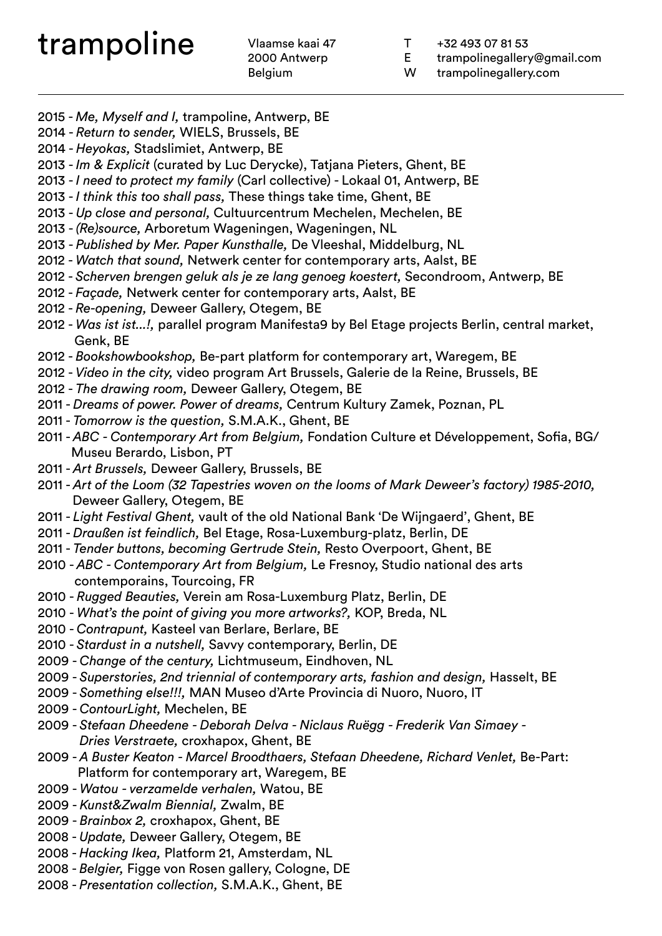2000 Antwerp Belgium

- T +32 493 07 81 53
- E trampolinegallery@gmail.com
- W trampolinegallery.com
- 2015 *Me, Myself and I,* trampoline, Antwerp, BE
- 2014 *Return to sender,* WIELS, Brussels, BE
- 2014 *Heyokas,* Stadslimiet, Antwerp, BE
- 2013 *Im & Explicit* (curated by Luc Derycke), Tatjana Pieters, Ghent, BE
- 2013 *I need to protect my family* (Carl collective) Lokaal 01, Antwerp, BE
- 2013 *I think this too shall pass,* These things take time, Ghent, BE
- 2013 *Up close and personal,* Cultuurcentrum Mechelen, Mechelen, BE
- 2013 *(Re)source,* Arboretum Wageningen, Wageningen, NL
- 2013 *Published by Mer. Paper Kunsthalle,* De Vleeshal, Middelburg, NL
- 2012 *Watch that sound,* Netwerk center for contemporary arts, Aalst, BE
- 2012 *Scherven brengen geluk als je ze lang genoeg koestert,* Secondroom, Antwerp, BE
- 2012 *Façade,* Netwerk center for contemporary arts, Aalst, BE
- 2012 *Re-opening,* Deweer Gallery, Otegem, BE
- 2012 *Was ist ist...!,* parallel program Manifesta9 by Bel Etage projects Berlin, central market, Genk, BE
- 2012 *Bookshowbookshop,* Be-part platform for contemporary art, Waregem, BE
- 2012 *Video in the city,* video program Art Brussels, Galerie de la Reine, Brussels, BE
- 2012 *The drawing room,* Deweer Gallery, Otegem, BE
- 2011 *Dreams of power. Power of dreams,* Centrum Kultury Zamek, Poznan, PL
- 2011 *Tomorrow is the question,* S.M.A.K., Ghent, BE
- 2011 *ABC Contemporary Art from Belgium,* Fondation Culture et Développement, Sofia, BG/ Museu Berardo, Lisbon, PT
- 2011 *Art Brussels,* Deweer Gallery, Brussels, BE
- 2011 *Art of the Loom (32 Tapestries woven on the looms of Mark Deweer's factory) 1985-2010,*  Deweer Gallery, Otegem, BE
- 2011 *Light Festival Ghent,* vault of the old National Bank 'De Wijngaerd', Ghent, BE
- 2011 *Draußen ist feindlich,* Bel Etage, Rosa-Luxemburg-platz, Berlin, DE
- 2011 *Tender buttons, becoming Gertrude Stein,* Resto Overpoort, Ghent, BE
- 2010 *ABC Contemporary Art from Belgium,* Le Fresnoy, Studio national des arts contemporains, Tourcoing, FR
- 2010 *Rugged Beauties,* Verein am Rosa-Luxemburg Platz, Berlin, DE
- 2010 *What's the point of giving you more artworks?,* KOP, Breda, NL
- 2010 *Contrapunt,* Kasteel van Berlare, Berlare, BE
- 2010 *Stardust in a nutshell,* Savvy contemporary, Berlin, DE
- 2009 *Change of the century,* Lichtmuseum, Eindhoven, NL
- 2009 *Superstories, 2nd triennial of contemporary arts, fashion and design,* Hasselt, BE
- 2009 *Something else!!!,* MAN Museo d'Arte Provincia di Nuoro, Nuoro, IT
- 2009 *ContourLight,* Mechelen, BE
- 2009 *Stefaan Dheedene Deborah Delva Niclaus Ruëgg Frederik Van Simaey Dries Verstraete,* croxhapox, Ghent, BE
- 2009 *A Buster Keaton Marcel Broodthaers, Stefaan Dheedene, Richard Venlet,* Be-Part: Platform for contemporary art, Waregem, BE
- 2009 *Watou verzamelde verhalen,* Watou, BE
- 2009 *Kunst&Zwalm Biennial,* Zwalm, BE
- 2009 *Brainbox 2,* croxhapox, Ghent, BE
- 2008 *Update,* Deweer Gallery, Otegem, BE
- 2008 *Hacking Ikea,* Platform 21, Amsterdam, NL
- 2008 *Belgier,* Figge von Rosen gallery, Cologne, DE
- 2008 *Presentation collection,* S.M.A.K., Ghent, BE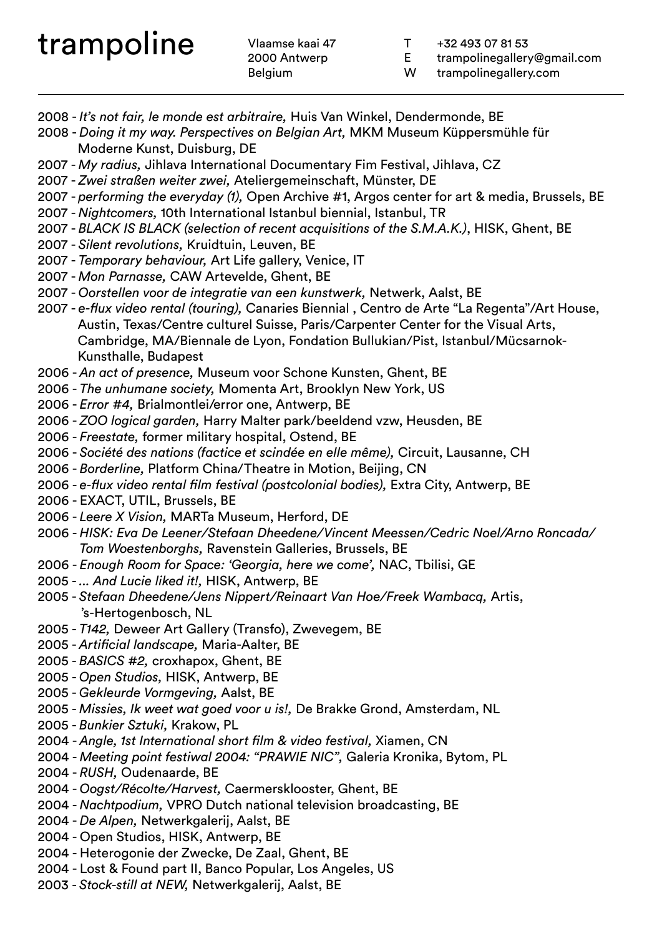2000 Antwerp Belgium

- T +32 493 07 81 53
- E trampolinegallery@gmail.com
- W trampolinegallery.com
- 2008 *It's not fair, le monde est arbitraire,* Huis Van Winkel, Dendermonde, BE
- 2008 *Doing it my way. Perspectives on Belgian Art,* MKM Museum Küppersmühle für Moderne Kunst, Duisburg, DE
- 2007 *My radius,* Jihlava International Documentary Fim Festival, Jihlava, CZ
- 2007 *Zwei straßen weiter zwei,* Ateliergemeinschaft, Münster, DE
- 2007 *performing the everyday (1),* Open Archive #1, Argos center for art & media, Brussels, BE
- 2007 *Nightcomers,* 10th International Istanbul biennial, Istanbul, TR
- 2007 *BLACK IS BLACK (selection of recent acquisitions of the S.M.A.K.)*, HISK, Ghent, BE
- 2007 *Silent revolutions,* Kruidtuin, Leuven, BE
- 2007 *Temporary behaviour,* Art Life gallery, Venice, IT
- 2007 *Mon Parnasse,* CAW Artevelde, Ghent, BE
- 2007 *Oorstellen voor de integratie van een kunstwerk,* Netwerk, Aalst, BE
- 2007 *e-flux video rental (touring),* Canaries Biennial , Centro de Arte "La Regenta"/Art House, Austin, Texas/Centre culturel Suisse, Paris/Carpenter Center for the Visual Arts, Cambridge, MA/Biennale de Lyon, Fondation Bullukian/Pist, Istanbul/Mücsarnok- Kunsthalle, Budapest
- 2006 *An act of presence,* Museum voor Schone Kunsten, Ghent, BE
- 2006 *The unhumane society,* Momenta Art, Brooklyn New York, US
- 2006 *Error #4,* Brialmontlei/error one, Antwerp, BE
- 2006 *ZOO logical garden,* Harry Malter park/beeldend vzw, Heusden, BE
- 2006 *Freestate,* former military hospital, Ostend, BE
- 2006 *Société des nations (factice et scindée en elle même),* Circuit, Lausanne, CH
- 2006 *Borderline,* Platform China/Theatre in Motion, Beijing, CN
- 2006 *e-flux video rental film festival (postcolonial bodies),* Extra City, Antwerp, BE
- 2006 EXACT, UTIL, Brussels, BE
- 2006 *Leere X Vision,* MARTa Museum, Herford, DE
- 2006 *HISK: Eva De Leener/Stefaan Dheedene/Vincent Meessen/Cedric Noel/Arno Roncada/ Tom Woestenborghs,* Ravenstein Galleries, Brussels, BE
- 2006 *Enough Room for Space: 'Georgia, here we come',* NAC, Tbilisi, GE
- 2005 *... And Lucie liked it!,* HISK, Antwerp, BE
- 2005 *Stefaan Dheedene/Jens Nippert/Reinaart Van Hoe/Freek Wambacq,* Artis, 's-Hertogenbosch, NL
- 2005 *T142,* Deweer Art Gallery (Transfo), Zwevegem, BE
- 2005 *Artificial landscape,* Maria-Aalter, BE
- 2005 *BASICS #2,* croxhapox, Ghent, BE
- 2005 *Open Studios,* HISK, Antwerp, BE
- 2005 *Gekleurde Vormgeving,* Aalst, BE
- 2005 *Missies, Ik weet wat goed voor u is!,* De Brakke Grond, Amsterdam, NL
- 2005 *Bunkier Sztuki,* Krakow, PL
- 2004 *Angle, 1st International short film & video festival,* Xiamen, CN
- 2004 *Meeting point festiwal 2004: "PRAWIE NIC",* Galeria Kronika, Bytom, PL
- 2004 *RUSH,* Oudenaarde, BE
- 2004 *Oogst/Récolte/Harvest,* Caermersklooster, Ghent, BE
- 2004 *Nachtpodium,* VPRO Dutch national television broadcasting, BE
- 2004 *De Alpen,* Netwerkgalerij, Aalst, BE
- 2004 Open Studios, HISK, Antwerp, BE
- 2004 Heterogonie der Zwecke, De Zaal, Ghent, BE
- 2004 Lost & Found part II, Banco Popular, Los Angeles, US
- 2003 *Stock-still at NEW,* Netwerkgalerij, Aalst, BE